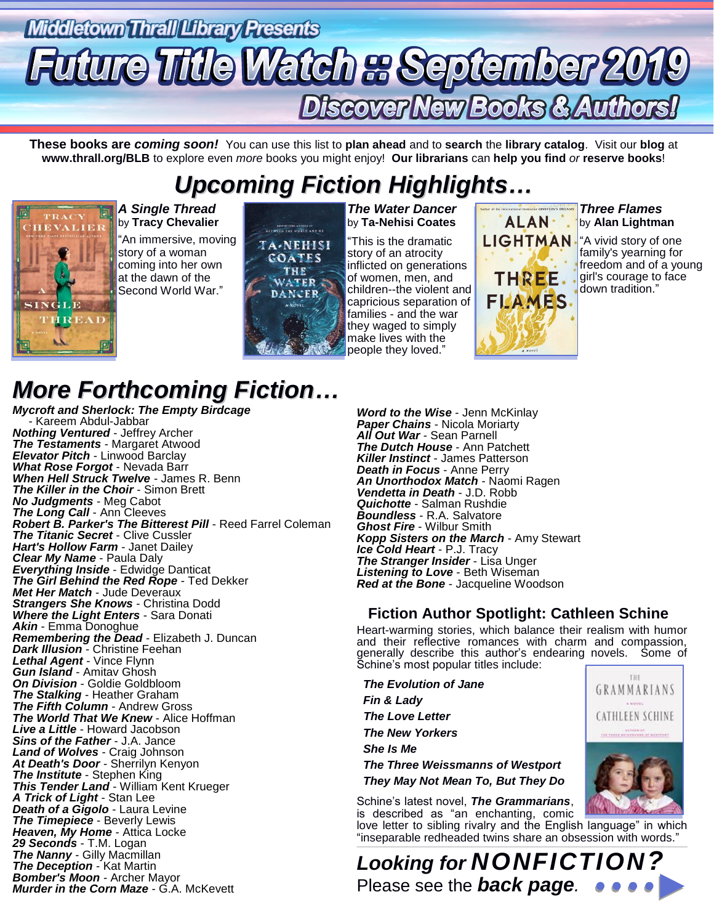# Middletown Thrall Library Presents **uture Title Watch a September 2019 Discover New Books & Authors**

**These books are** *coming soon!* You can use this list to **plan ahead** and to **search** the **library catalog**. Visit our **blog** at **www.thrall.org/BLB** to explore even *more* books you might enjoy! **Our librarians** can **help you find** *or* **reserve books**!

# *Upcoming Fiction Highlights…*



*A Single Thread* by **Tracy Chevalier** "An immersive, moving story of a woman coming into her own at the dawn of the Second World War."



*The Water Dancer* by **Ta-Nehisi Coates**

"This is the dramatic story of an atrocity inflicted on generations of women, men, and children--the violent and capricious separation of families - and the war they waged to simply make lives with the people they loved."

## **ALAN**<sup>+</sup> **LIGHTMAN** THREE FLAMES

### *Three Flames* by **Alan Lightman**

"A vivid story of one family's yearning for freedom and of a young girl's courage to face down tradition."

## *More Forthcoming Fiction…*

*Mycroft and Sherlock: The Empty Birdcage* - Kareem Abdul-Jabbar *Nothing Ventured* - Jeffrey Archer *The Testaments* - Margaret Atwood *Elevator Pitch* - Linwood Barclay *What Rose Forgot* - Nevada Barr *When Hell Struck Twelve* - James R. Benn *The Killer in the Choir* - Simon Brett *No Judgments* - Meg Cabot *The Long Call* - Ann Cleeves *Robert B. Parker's The Bitterest Pill* - Reed Farrel Coleman *The Titanic Secret* - Clive Cussler *Hart's Hollow Farm* - Janet Dailey *Clear My Name* - Paula Daly *Everything Inside* - Edwidge Danticat *The Girl Behind the Red Rope* - Ted Dekker **Met Her Match - Jude Deveraux** *Strangers She Knows* - Christina Dodd *Where the Light Enters* - Sara Donati *Akin* - Emma Donoghue *Remembering the Dead* - Elizabeth J. Duncan *Dark Illusion* - Christine Feehan *Lethal Agent* - Vince Flynn *Gun Island* - Amitav Ghosh *On Division* - Goldie Goldbloom *The Stalking* - Heather Graham *The Fifth Column* - Andrew Gross *The World That We Knew* - Alice Hoffman *Live a Little* - Howard Jacobson *Sins of the Father* - J.A. Jance *Land of Wolves* - Craig Johnson *At Death's Door* - Sherrilyn Kenyon *The Institute* - Stephen King **This Tender Land - William Kent Krueger** *A Trick of Light* - Stan Lee *Death of a Gigolo* - Laura Levine *The Timepiece* - Beverly Lewis *Heaven, My Home* - Attica Locke *29 Seconds* - T.M. Logan *The Nanny* - Gilly Macmillan *The Deception* - Kat Martin *Bomber's Moon* - Archer Mayor *Murder in the Corn Maze* - G.A. McKevett

*Word to the Wise* - Jenn McKinlay *Paper Chains* - Nicola Moriarty *All Out War* - Sean Parnell *The Dutch House* - Ann Patchett *Killer Instinct* - James Patterson *Death in Focus* - Anne Perry *An Unorthodox Match* - Naomi Ragen *Vendetta in Death* - J.D. Robb *Quichotte* - Salman Rushdie *Boundless* - R.A. Salvatore *Ghost Fire* - Wilbur Smith *Kopp Sisters on the March* - Amy Stewart *Ice Cold Heart* - P.J. Tracy *The Stranger Insider* - Lisa Unger *Listening to Love* - Beth Wiseman *Red at the Bone* - Jacqueline Woodson

### **Fiction Author Spotlight: Cathleen Schine**

Heart-warming stories, which balance their realism with humor and their reflective romances with charm and compassion, generally describe this author's endearing novels. Some of Schine's most popular titles include:

 *The Evolution of Jane Fin & Lady The Love Letter The New Yorkers She Is Me The Three Weissmanns of Westport They May Not Mean To, But They Do* Schine's latest novel, *The Grammarians*,



is described as "an enchanting, comic love letter to sibling rivalry and the English language" in which "inseparable redheaded twins share an obsession with words."

\_\_\_\_\_\_\_\_\_\_\_\_\_\_\_\_\_\_\_\_\_\_\_\_\_\_\_\_\_\_\_\_\_\_\_\_\_\_\_\_\_\_\_\_\_\_\_\_\_\_\_\_\_\_\_\_\_\_\_\_\_\_\_\_\_\_\_\_\_\_\_\_\_\_\_\_\_\_\_\_\_\_\_\_\_\_\_\_\_\_\_\_\_\_\_\_\_\_\_\_\_\_\_\_\_\_\_\_\_\_\_\_\_\_\_\_\_\_\_\_\_\_\_\_\_\_\_\_\_\_\_\_\_\_\_\_\_\_\_\_\_\_\_\_\_\_\_\_\_\_\_\_\_\_\_\_\_\_\_\_\_\_\_\_\_\_\_\_\_\_ *Looking for NONFICTION?* Please see the *back page.*